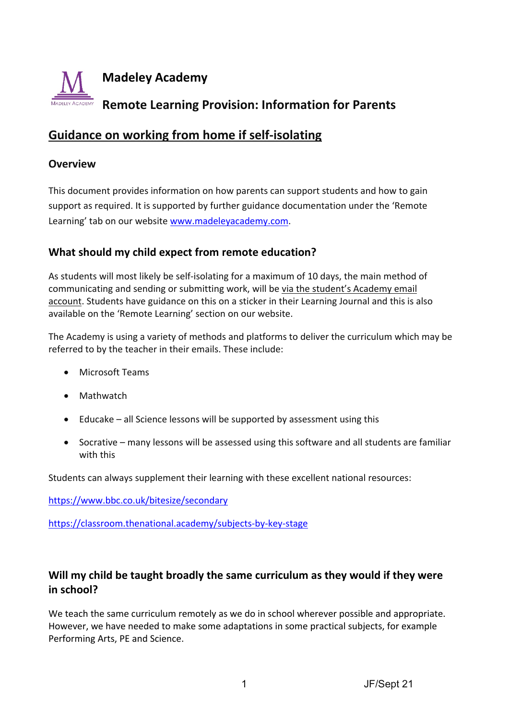

# **Guidance on working from home if self‐isolating**

#### **Overview**

This document provides information on how parents can support students and how to gain support as required. It is supported by further guidance documentation under the 'Remote Learning' tab on our website www.madeleyacademy.com.

## **What should my child expect from remote education?**

As students will most likely be self‐isolating for a maximum of 10 days, the main method of communicating and sending or submitting work, will be via the student's Academy email account. Students have guidance on this on a sticker in their Learning Journal and this is also available on the 'Remote Learning' section on our website.

The Academy is using a variety of methods and platforms to deliver the curriculum which may be referred to by the teacher in their emails. These include:

- Microsoft Teams
- Mathwatch
- Educake all Science lessons will be supported by assessment using this
- Socrative many lessons will be assessed using this software and all students are familiar with this

Students can always supplement their learning with these excellent national resources:

https://www.bbc.co.uk/bitesize/secondary

https://classroom.thenational.academy/subjects‐by‐key‐stage

# **Will my child be taught broadly the same curriculum as they would if they were in school?**

We teach the same curriculum remotely as we do in school wherever possible and appropriate. However, we have needed to make some adaptations in some practical subjects, for example Performing Arts, PE and Science.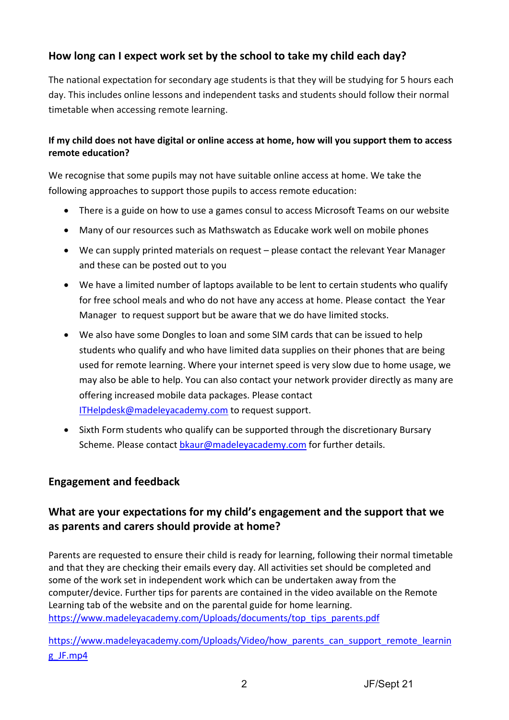# **How long can I expect work set by the school to take my child each day?**

The national expectation for secondary age students is that they will be studying for 5 hours each day. This includes online lessons and independent tasks and students should follow their normal timetable when accessing remote learning.

### If my child does not have digital or online access at home, how will you support them to access **remote education?**

We recognise that some pupils may not have suitable online access at home. We take the following approaches to support those pupils to access remote education:

- There is a guide on how to use a games consul to access Microsoft Teams on our website
- Many of our resources such as Mathswatch as Educake work well on mobile phones
- We can supply printed materials on request please contact the relevant Year Manager and these can be posted out to you
- We have a limited number of laptops available to be lent to certain students who qualify for free school meals and who do not have any access at home. Please contact the Year Manager to request support but be aware that we do have limited stocks.
- We also have some Dongles to loan and some SIM cards that can be issued to help students who qualify and who have limited data supplies on their phones that are being used for remote learning. Where your internet speed is very slow due to home usage, we may also be able to help. You can also contact your network provider directly as many are offering increased mobile data packages. Please contact ITHelpdesk@madeleyacademy.com to request support.
- Sixth Form students who qualify can be supported through the discretionary Bursary Scheme. Please contact bkaur@madeleyacademy.com for further details.

## **Engagement and feedback**

# **What are your expectations for my child's engagement and the support that we as parents and carers should provide at home?**

Parents are requested to ensure their child is ready for learning, following their normal timetable and that they are checking their emails every day. All activities set should be completed and some of the work set in independent work which can be undertaken away from the computer/device. Further tips for parents are contained in the video available on the Remote Learning tab of the website and on the parental guide for home learning. https://www.madeleyacademy.com/Uploads/documents/top\_tips\_parents.pdf

https://www.madeleyacademy.com/Uploads/Video/how\_parents\_can\_support\_remote\_learnin g\_JF.mp4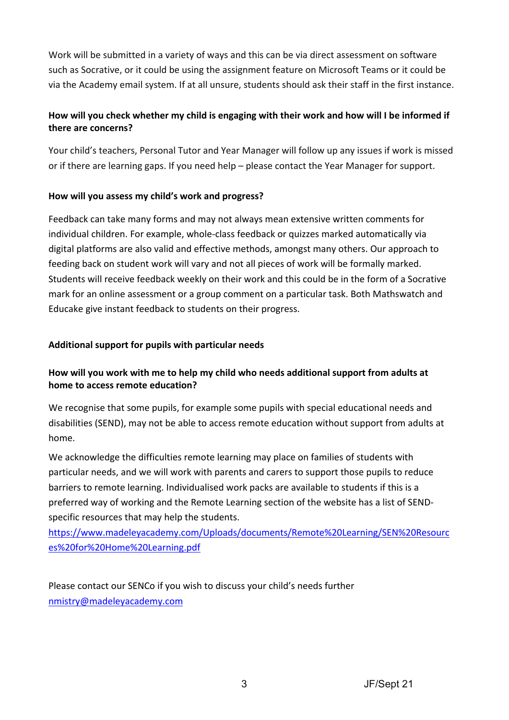Work will be submitted in a variety of ways and this can be via direct assessment on software such as Socrative, or it could be using the assignment feature on Microsoft Teams or it could be via the Academy email system. If at all unsure, students should ask their staff in the first instance.

## How will you check whether my child is engaging with their work and how will I be informed if **there are concerns?**

Your child's teachers, Personal Tutor and Year Manager will follow up any issues if work is missed or if there are learning gaps. If you need help – please contact the Year Manager for support.

#### **How will you assess my child's work and progress?**

Feedback can take many forms and may not always mean extensive written comments for individual children. For example, whole‐class feedback or quizzes marked automatically via digital platforms are also valid and effective methods, amongst many others. Our approach to feeding back on student work will vary and not all pieces of work will be formally marked. Students will receive feedback weekly on their work and this could be in the form of a Socrative mark for an online assessment or a group comment on a particular task. Both Mathswatch and Educake give instant feedback to students on their progress.

#### **Additional support for pupils with particular needs**

### **How will you work with me to help my child who needs additional support from adults at home to access remote education?**

We recognise that some pupils, for example some pupils with special educational needs and disabilities (SEND), may not be able to access remote education without support from adults at home.

We acknowledge the difficulties remote learning may place on families of students with particular needs, and we will work with parents and carers to support those pupils to reduce barriers to remote learning. Individualised work packs are available to students if this is a preferred way of working and the Remote Learning section of the website has a list of SEND‐ specific resources that may help the students.

https://www.madeleyacademy.com/Uploads/documents/Remote%20Learning/SEN%20Resourc es%20for%20Home%20Learning.pdf

Please contact our SENCo if you wish to discuss your child's needs further nmistry@madeleyacademy.com